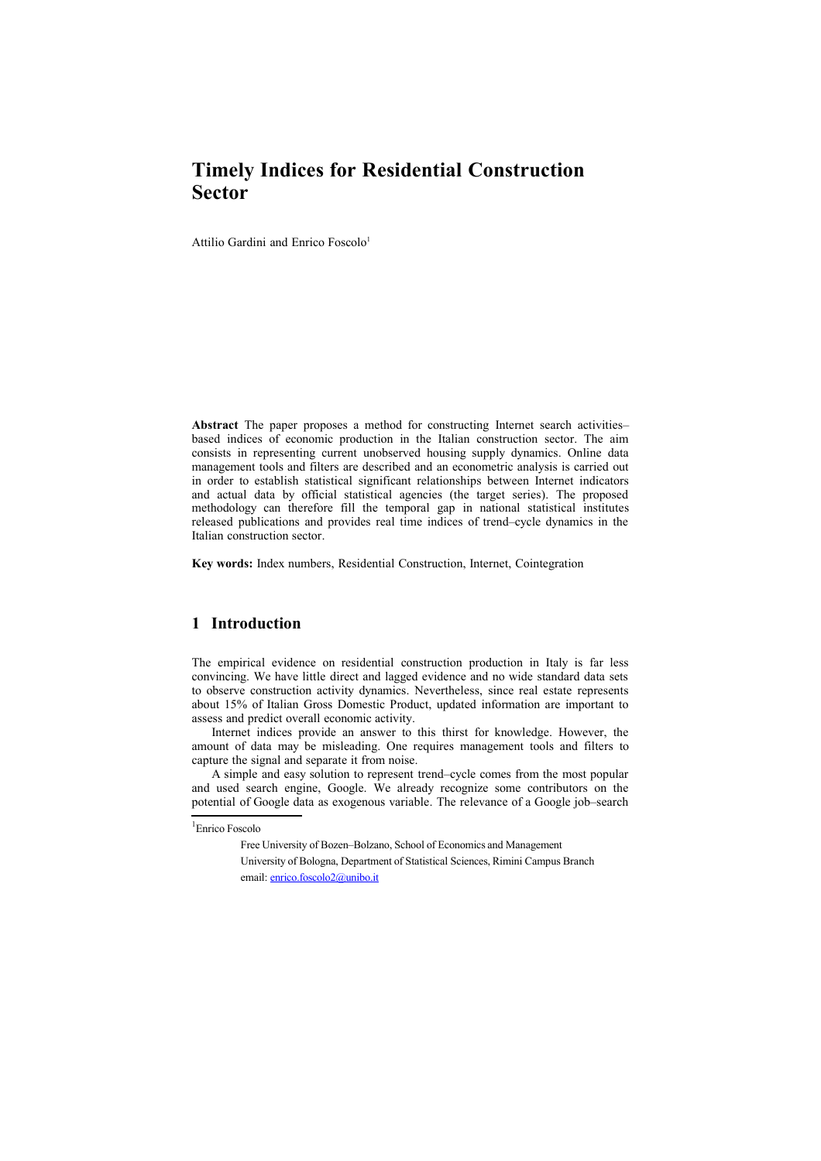# **Timely Indices for Residential Construction Sector**

Attilio Gardini and Enrico Foscolo<sup>[1](#page-0-0)</sup>

**Abstract** The paper proposes a method for constructing Internet search activities– based indices of economic production in the Italian construction sector. The aim consists in representing current unobserved housing supply dynamics. Online data management tools and filters are described and an econometric analysis is carried out in order to establish statistical significant relationships between Internet indicators and actual data by official statistical agencies (the target series). The proposed methodology can therefore fill the temporal gap in national statistical institutes released publications and provides real time indices of trend–cycle dynamics in the Italian construction sector.

**Key words:** Index numbers, Residential Construction, Internet, Cointegration

#### **1 Introduction**

The empirical evidence on residential construction production in Italy is far less convincing. We have little direct and lagged evidence and no wide standard data sets to observe construction activity dynamics. Nevertheless, since real estate represents about 15% of Italian Gross Domestic Product, updated information are important to assess and predict overall economic activity.

Internet indices provide an answer to this thirst for knowledge. However, the amount of data may be misleading. One requires management tools and filters to capture the signal and separate it from noise.

A simple and easy solution to represent trend–cycle comes from the most popular and used search engine, Google. We already recognize some contributors on the potential of Google data as exogenous variable. The relevance of a Google job–search

<span id="page-0-0"></span><sup>1</sup> Enrico Foscolo

Free University of Bozen–Bolzano, School of Economics and Management

University of Bologna, Department of Statistical Sciences, Rimini Campus Branch email: [enrico.foscolo2@unibo.it](mailto:enrico.foscolo2@unibo.it)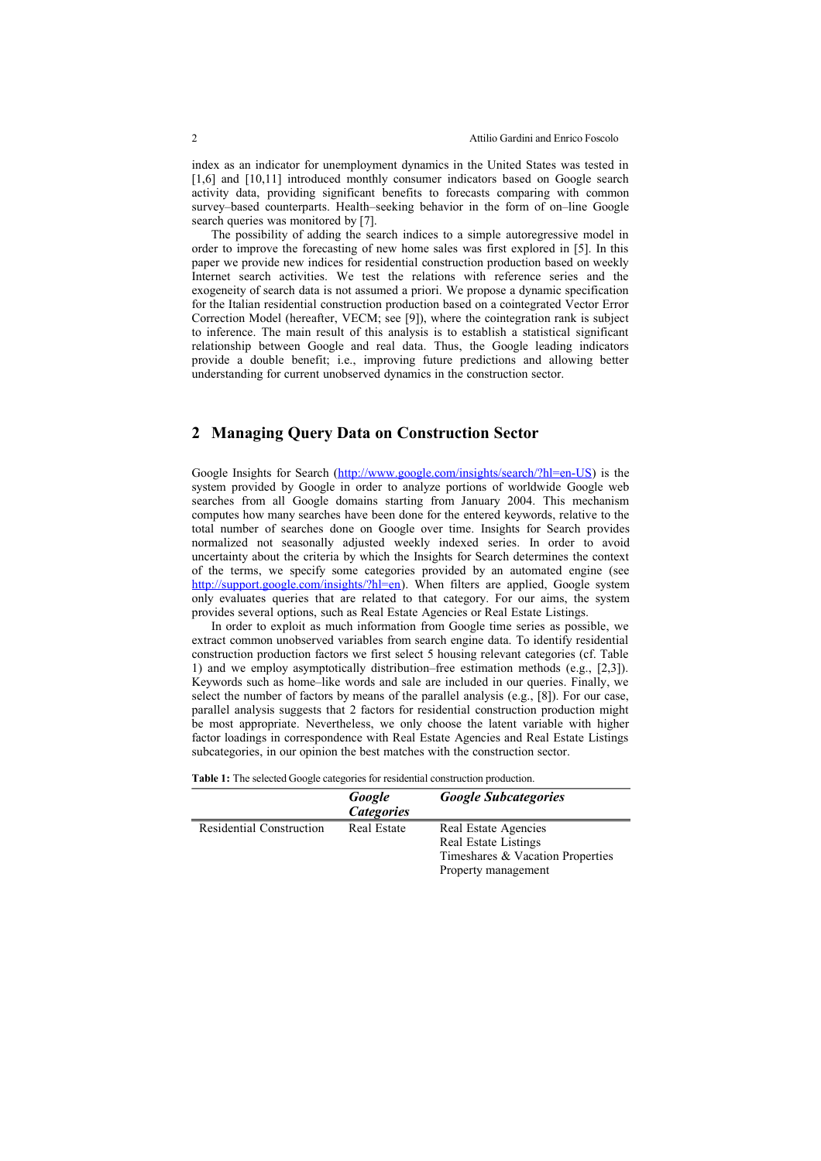index as an indicator for unemployment dynamics in the United States was tested in [1,6] and [10,11] introduced monthly consumer indicators based on Google search activity data, providing significant benefits to forecasts comparing with common survey–based counterparts. Health–seeking behavior in the form of on–line Google search queries was monitored by [7].

The possibility of adding the search indices to a simple autoregressive model in order to improve the forecasting of new home sales was first explored in [5]. In this paper we provide new indices for residential construction production based on weekly Internet search activities. We test the relations with reference series and the exogeneity of search data is not assumed a priori. We propose a dynamic specification for the Italian residential construction production based on a cointegrated Vector Error Correction Model (hereafter, VECM; see [9]), where the cointegration rank is subject to inference. The main result of this analysis is to establish a statistical significant relationship between Google and real data. Thus, the Google leading indicators provide a double benefit; i.e., improving future predictions and allowing better understanding for current unobserved dynamics in the construction sector.

## **2 Managing Query Data on Construction Sector**

Google Insights for Search [\(http://www.google.com/insights/search/?hl=en-US\)](http://www.google.com/insights/search/?hl=en-US) is the system provided by Google in order to analyze portions of worldwide Google web searches from all Google domains starting from January 2004. This mechanism computes how many searches have been done for the entered keywords, relative to the total number of searches done on Google over time. Insights for Search provides normalized not seasonally adjusted weekly indexed series. In order to avoid uncertainty about the criteria by which the Insights for Search determines the context of the terms, we specify some categories provided by an automated engine (see [http://support.google.com/insights/?hl=en\)](http://support.google.com/insights/?hl=en). When filters are applied, Google system only evaluates queries that are related to that category. For our aims, the system provides several options, such as Real Estate Agencies or Real Estate Listings.

In order to exploit as much information from Google time series as possible, we extract common unobserved variables from search engine data. To identify residential construction production factors we first select 5 housing relevant categories (cf. Table 1) and we employ asymptotically distribution–free estimation methods (e.g., [2,3]). Keywords such as home–like words and sale are included in our queries. Finally, we select the number of factors by means of the parallel analysis (e.g., [8]). For our case, parallel analysis suggests that 2 factors for residential construction production might be most appropriate. Nevertheless, we only choose the latent variable with higher factor loadings in correspondence with Real Estate Agencies and Real Estate Listings subcategories, in our opinion the best matches with the construction sector.

|                          | Google<br><b>Categories</b> | <b>Google Subcategories</b>      |
|--------------------------|-----------------------------|----------------------------------|
| Residential Construction | Real Estate                 | Real Estate Agencies             |
|                          |                             | Real Estate Listings             |
|                          |                             | Timeshares & Vacation Properties |

Property management

**Table 1:** The selected Google categories for residential construction production.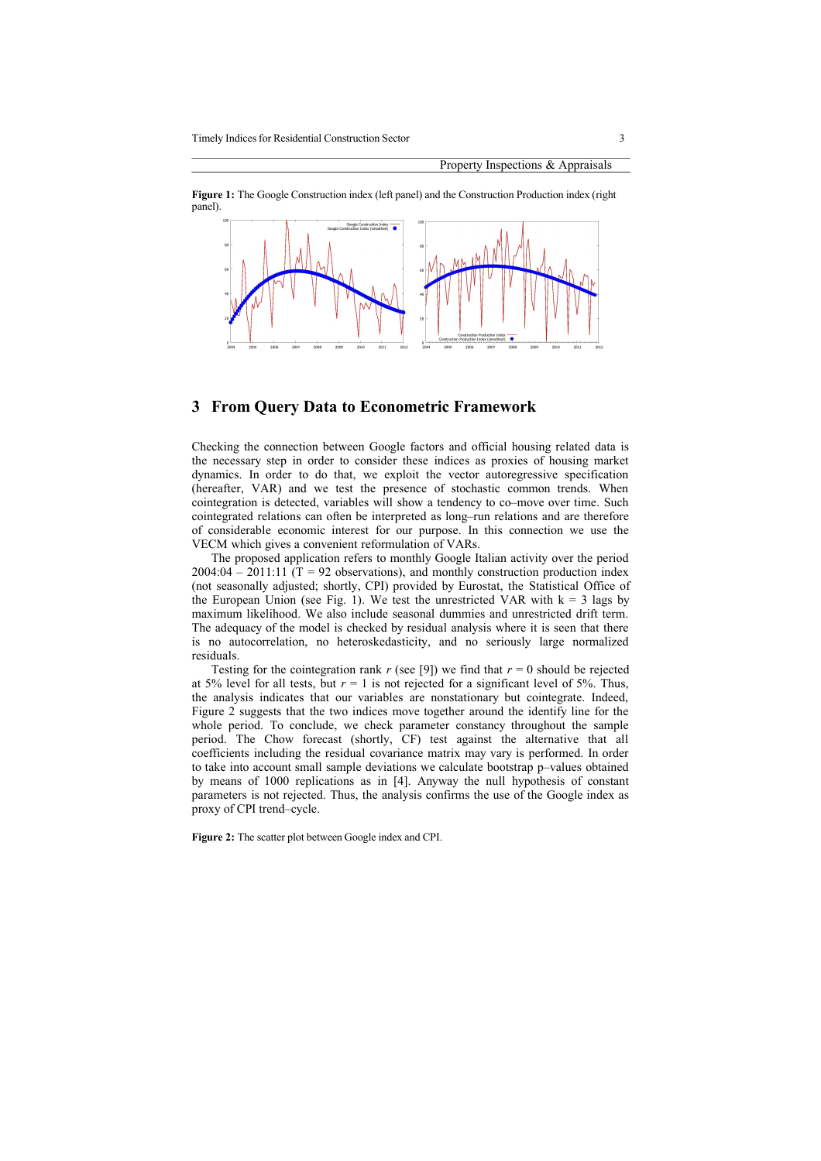



### **3 From Query Data to Econometric Framework**

Checking the connection between Google factors and official housing related data is the necessary step in order to consider these indices as proxies of housing market dynamics. In order to do that, we exploit the vector autoregressive specification (hereafter, VAR) and we test the presence of stochastic common trends. When cointegration is detected, variables will show a tendency to co–move over time. Such cointegrated relations can often be interpreted as long–run relations and are therefore of considerable economic interest for our purpose. In this connection we use the VECM which gives a convenient reformulation of VARs.

The proposed application refers to monthly Google Italian activity over the period 2004:04 – 2011:11  $(T = 92$  observations), and monthly construction production index (not seasonally adjusted; shortly, CPI) provided by Eurostat, the Statistical Office of the European Union (see Fig. 1). We test the unrestricted VAR with  $k = 3$  lags by maximum likelihood. We also include seasonal dummies and unrestricted drift term. The adequacy of the model is checked by residual analysis where it is seen that there is no autocorrelation, no heteroskedasticity, and no seriously large normalized residuals.

Testing for the cointegration rank  $r$  (see [9]) we find that  $r = 0$  should be rejected at 5% level for all tests, but  $r = 1$  is not rejected for a significant level of 5%. Thus, the analysis indicates that our variables are nonstationary but cointegrate. Indeed, Figure 2 suggests that the two indices move together around the identify line for the whole period. To conclude, we check parameter constancy throughout the sample period. The Chow forecast (shortly, CF) test against the alternative that all coefficients including the residual covariance matrix may vary is performed. In order to take into account small sample deviations we calculate bootstrap p–values obtained by means of 1000 replications as in [4]. Anyway the null hypothesis of constant parameters is not rejected. Thus, the analysis confirms the use of the Google index as proxy of CPI trend–cycle.

**Figure 2:** The scatter plot between Google index and CPI.